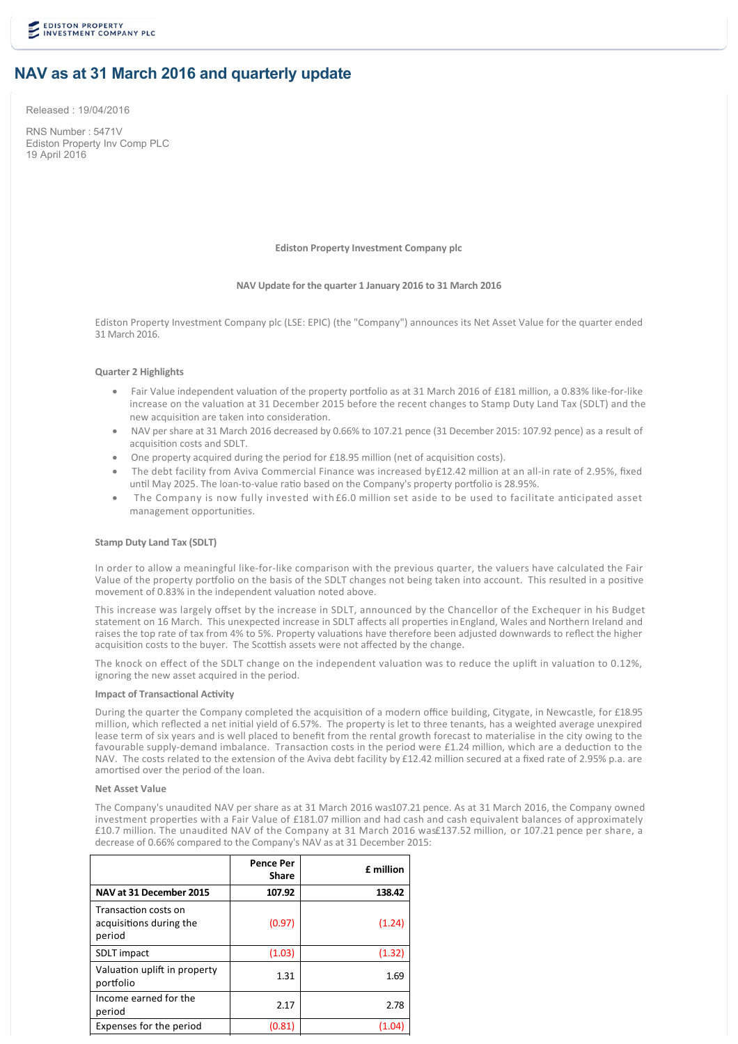# **NAV as at 31 March 2016 and quarterly update**

Released : 19/04/2016

RNS Number : 5471V Ediston Property Inv Comp PLC 19 April 2016

**Ediston Property Investment Company plc**

## **NAV Update for the quarter 1 January 2016 to 31 March 2016**

Ediston Property Investment Company plc (LSE: EPIC) (the "Company") announces its Net Asset Value for the quarter ended 31 March 2016.

# **Quarter 2 Highlights**

- Fair Value independent valuation of the property portfolio as at 31 March 2016 of £181 million, a 0.83% like-for-like increase on the valuation at 31 December 2015 before the recent changes to Stamp Duty Land Tax (SDLT) and the new acquisition are taken into consideration.
- · NAV per share at 31 March 2016 decreased by 0.66% to 107.21 pence (31 December 2015: 107.92 pence) as a result of acquisition costs and SDLT.
- One property acquired during the period for £18.95 million (net of acquisition costs).
- The debt facility from Aviva Commercial Finance was increased by£12.42 million at an all-in rate of 2.95%, fixed until May 2025. The loan-to-value ratio based on the Company's property portfolio is 28.95%.
- The Company is now fully invested with £6.0 million set aside to be used to facilitate anticipated asset management opportunities.

## **Stamp Duty Land Tax (SDLT)**

In order to allow a meaningful like-for-like comparison with the previous quarter, the valuers have calculated the Fair Value of the property portfolio on the basis of the SDLT changes not being taken into account. This resulted in a positive movement of 0.83% in the independent valuation noted above.

This increase was largely offset by the increase in SDLT, announced by the Chancellor of the Exchequer in his Budget statement on 16 March. This unexpected increase in SDLT affects all properties in England, Wales and Northern Ireland and raises the top rate of tax from 4% to 5%. Property valuations have therefore been adjusted downwards to reflect the higher acquisition costs to the buyer. The Scottish assets were not affected by the change.

The knock on effect of the SDLT change on the independent valuation was to reduce the uplift in valuation to 0.12%, ignoring the new asset acquired in the period.

# **Impact of Transactional Activity**

During the quarter the Company completed the acquisition of a modern office building, Citygate, in Newcastle, for £18.95 million, which reflected a net initial yield of 6.57%. The property is let to three tenants, has a weighted average unexpired lease term of six years and is well placed to benefit from the rental growth forecast to materialise in the city owing to the favourable supply-demand imbalance. Transaction costs in the period were £1.24 million, which are a deduction to the NAV. The costs related to the extension of the Aviva debt facility by £12.42 million secured at a fixed rate of 2.95% p.a. are amortised over the period of the loan.

#### **Net Asset Value**

The Company's unaudited NAV per share as at 31 March 2016 was 107.21 pence. As at 31 March 2016, the Company owned investment properties with a Fair Value of £181.07 million and had cash and cash equivalent balances of approximately £10.7 million. The unaudited NAV of the Company at 31 March 2016 was £137.52 million, or 107.21 pence per share, a decrease of 0.66% compared to the Company's NAV as at 31 December 2015:

|                                                           | <b>Pence Per</b><br>Share | £ million |
|-----------------------------------------------------------|---------------------------|-----------|
| NAV at 31 December 2015                                   | 107.92                    | 138.42    |
| Transaction costs on<br>acquisitions during the<br>period | (0.97)                    | (1.24)    |
| <b>SDLT</b> impact                                        | (1.03)                    | (1.32)    |
| Valuation uplift in property<br>portfolio                 | 1.31                      | 1.69      |
| Income earned for the<br>period                           | 2.17                      | 2.78      |
| Expenses for the period                                   | (0.81)                    |           |